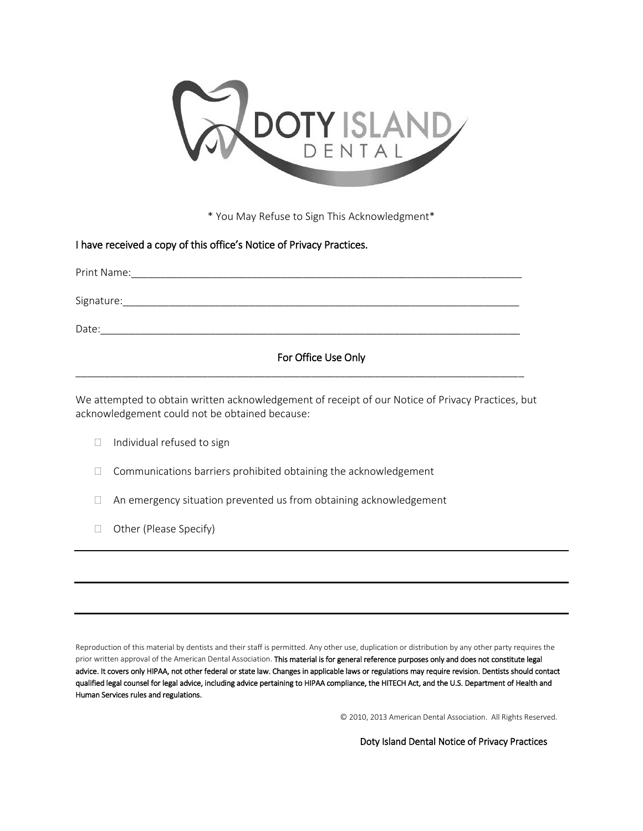

\* You May Refuse to Sign This Acknowledgment\*

I have received a copy of this office's Notice of Privacy Practices.

| Print Name:<br><u> 1980 - Jan Stein Berlin, amerikan berlin berlin berlin berlin berlin berlin berlin berlin berlin berlin berl</u>                                                                                            |                     |
|--------------------------------------------------------------------------------------------------------------------------------------------------------------------------------------------------------------------------------|---------------------|
| Signature: Management and Contract and Contract of the Contract of the Contract of the Contract of the Contract of the Contract of the Contract of the Contract of the Contract of the Contract of the Contract of the Contrac |                     |
| Date:                                                                                                                                                                                                                          |                     |
|                                                                                                                                                                                                                                | For Office Use Only |

We attempted to obtain written acknowledgement of receipt of our Notice of Privacy Practices, but acknowledgement could not be obtained because:

- $\Box$  Individual refused to sign
- $\Box$  Communications barriers prohibited obtaining the acknowledgement
- $\Box$  An emergency situation prevented us from obtaining acknowledgement
- $\Box$  Other (Please Specify)

Reproduction of this material by dentists and their staff is permitted. Any other use, duplication or distribution by any other party requires the prior written approval of the American Dental Association. This material is for general reference purposes only and does not constitute legal advice. It covers only HIPAA, not other federal or state law. Changes in applicable laws or regulations may require revision. Dentists should contact qualified legal counsel for legal advice, including advice pertaining to HIPAA compliance, the HITECH Act, and the U.S. Department of Health and Human Services rules and regulations.

© 2010, 2013 American Dental Association. All Rights Reserved.

Doty Island Dental Notice of Privacy Practices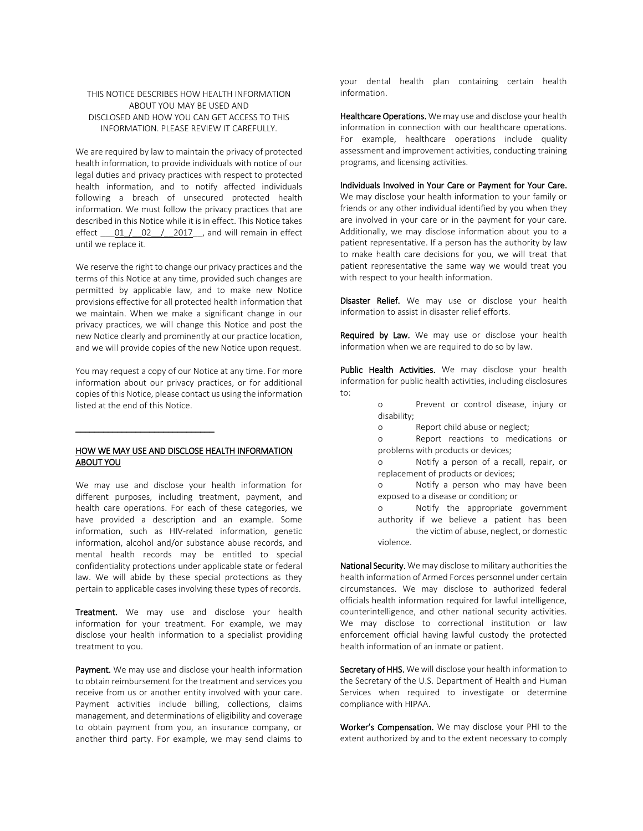# THIS NOTICE DESCRIBES HOW HEALTH INFORMATION ABOUT YOU MAY BE USED AND DISCLOSED AND HOW YOU CAN GET ACCESS TO THIS INFORMATION. PLEASE REVIEW IT CAREFULLY.

We are required by law to maintain the privacy of protected health information, to provide individuals with notice of our legal duties and privacy practices with respect to protected health information, and to notify affected individuals following a breach of unsecured protected health information. We must follow the privacy practices that are described in this Notice while it is in effect. This Notice takes effect  $01/02$  / 2017, and will remain in effect until we replace it.

We reserve the right to change our privacy practices and the terms of this Notice at any time, provided such changes are permitted by applicable law, and to make new Notice provisions effective for all protected health information that we maintain. When we make a significant change in our privacy practices, we will change this Notice and post the new Notice clearly and prominently at our practice location, and we will provide copies of the new Notice upon request.

You may request a copy of our Notice at any time. For more information about our privacy practices, or for additional copies of this Notice, please contact us using the information listed at the end of this Notice.

# HOW WE MAY USE AND DISCLOSE HEALTH INFORMATION ABOUT YOU

\_\_\_\_\_\_\_\_\_\_\_\_\_\_\_\_\_\_\_\_\_\_\_\_\_\_\_\_\_\_

We may use and disclose your health information for different purposes, including treatment, payment, and health care operations. For each of these categories, we have provided a description and an example. Some information, such as HIV-related information, genetic information, alcohol and/or substance abuse records, and mental health records may be entitled to special confidentiality protections under applicable state or federal law. We will abide by these special protections as they pertain to applicable cases involving these types of records.

Treatment. We may use and disclose your health information for your treatment. For example, we may disclose your health information to a specialist providing treatment to you.

Payment. We may use and disclose your health information to obtain reimbursement for the treatment and services you receive from us or another entity involved with your care. Payment activities include billing, collections, claims management, and determinations of eligibility and coverage to obtain payment from you, an insurance company, or another third party. For example, we may send claims to

your dental health plan containing certain health information.

Healthcare Operations. We may use and disclose your health information in connection with our healthcare operations. For example, healthcare operations include quality assessment and improvement activities, conducting training programs, and licensing activities.

Individuals Involved in Your Care or Payment for Your Care. We may disclose your health information to your family or friends or any other individual identified by you when they are involved in your care or in the payment for your care. Additionally, we may disclose information about you to a patient representative. If a person has the authority by law to make health care decisions for you, we will treat that patient representative the same way we would treat you with respect to your health information.

Disaster Relief. We may use or disclose your health information to assist in disaster relief efforts.

Required by Law. We may use or disclose your health information when we are required to do so by law.

Public Health Activities. We may disclose your health information for public health activities, including disclosures to:

- o Prevent or control disease, injury or disability;
- o Report child abuse or neglect;
- o Report reactions to medications or problems with products or devices;

o Notify a person of a recall, repair, or replacement of products or devices;

o Notify a person who may have been exposed to a disease or condition; or

o Notify the appropriate government authority if we believe a patient has been the victim of abuse, neglect, or domestic violence.

National Security. We may disclose to military authorities the health information of Armed Forces personnel under certain circumstances. We may disclose to authorized federal officials health information required for lawful intelligence, counterintelligence, and other national security activities. We may disclose to correctional institution or law enforcement official having lawful custody the protected health information of an inmate or patient.

Secretary of HHS. We will disclose your health information to the Secretary of the U.S. Department of Health and Human Services when required to investigate or determine compliance with HIPAA.

Worker's Compensation. We may disclose your PHI to the extent authorized by and to the extent necessary to comply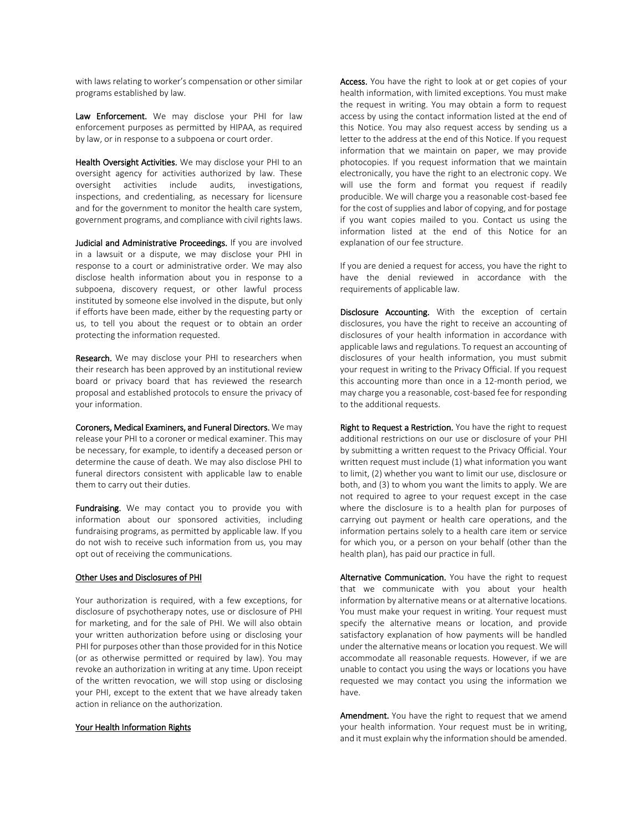with laws relating to worker's compensation or other similar programs established by law.

Law Enforcement. We may disclose your PHI for law enforcement purposes as permitted by HIPAA, as required by law, or in response to a subpoena or court order.

Health Oversight Activities. We may disclose your PHI to an oversight agency for activities authorized by law. These oversight activities include audits, investigations, inspections, and credentialing, as necessary for licensure and for the government to monitor the health care system, government programs, and compliance with civil rights laws.

Judicial and Administrative Proceedings. If you are involved in a lawsuit or a dispute, we may disclose your PHI in response to a court or administrative order. We may also disclose health information about you in response to a subpoena, discovery request, or other lawful process instituted by someone else involved in the dispute, but only if efforts have been made, either by the requesting party or us, to tell you about the request or to obtain an order protecting the information requested.

Research. We may disclose your PHI to researchers when their research has been approved by an institutional review board or privacy board that has reviewed the research proposal and established protocols to ensure the privacy of your information.

Coroners, Medical Examiners, and Funeral Directors. We may release your PHI to a coroner or medical examiner. This may be necessary, for example, to identify a deceased person or determine the cause of death. We may also disclose PHI to funeral directors consistent with applicable law to enable them to carry out their duties.

Fundraising. We may contact you to provide you with information about our sponsored activities, including fundraising programs, as permitted by applicable law. If you do not wish to receive such information from us, you may opt out of receiving the communications.

# Other Uses and Disclosures of PHI

Your authorization is required, with a few exceptions, for disclosure of psychotherapy notes, use or disclosure of PHI for marketing, and for the sale of PHI. We will also obtain your written authorization before using or disclosing your PHI for purposes other than those provided for in this Notice (or as otherwise permitted or required by law). You may revoke an authorization in writing at any time. Upon receipt of the written revocation, we will stop using or disclosing your PHI, except to the extent that we have already taken action in reliance on the authorization.

#### Your Health Information Rights

Access. You have the right to look at or get copies of your health information, with limited exceptions. You must make the request in writing. You may obtain a form to request access by using the contact information listed at the end of this Notice. You may also request access by sending us a letter to the address at the end of this Notice. If you request information that we maintain on paper, we may provide photocopies. If you request information that we maintain electronically, you have the right to an electronic copy. We will use the form and format you request if readily producible. We will charge you a reasonable cost-based fee for the cost of supplies and labor of copying, and for postage if you want copies mailed to you. Contact us using the information listed at the end of this Notice for an explanation of our fee structure.

If you are denied a request for access, you have the right to have the denial reviewed in accordance with the requirements of applicable law.

Disclosure Accounting. With the exception of certain disclosures, you have the right to receive an accounting of disclosures of your health information in accordance with applicable laws and regulations. To request an accounting of disclosures of your health information, you must submit your request in writing to the Privacy Official. If you request this accounting more than once in a 12-month period, we may charge you a reasonable, cost-based fee for responding to the additional requests.

Right to Request a Restriction. You have the right to request additional restrictions on our use or disclosure of your PHI by submitting a written request to the Privacy Official. Your written request must include (1) what information you want to limit, (2) whether you want to limit our use, disclosure or both, and (3) to whom you want the limits to apply. We are not required to agree to your request except in the case where the disclosure is to a health plan for purposes of carrying out payment or health care operations, and the information pertains solely to a health care item or service for which you, or a person on your behalf (other than the health plan), has paid our practice in full.

Alternative Communication. You have the right to request that we communicate with you about your health information by alternative means or at alternative locations. You must make your request in writing. Your request must specify the alternative means or location, and provide satisfactory explanation of how payments will be handled under the alternative means or location you request. We will accommodate all reasonable requests. However, if we are unable to contact you using the ways or locations you have requested we may contact you using the information we have.

Amendment. You have the right to request that we amend your health information. Your request must be in writing, and it must explain why the information should be amended.